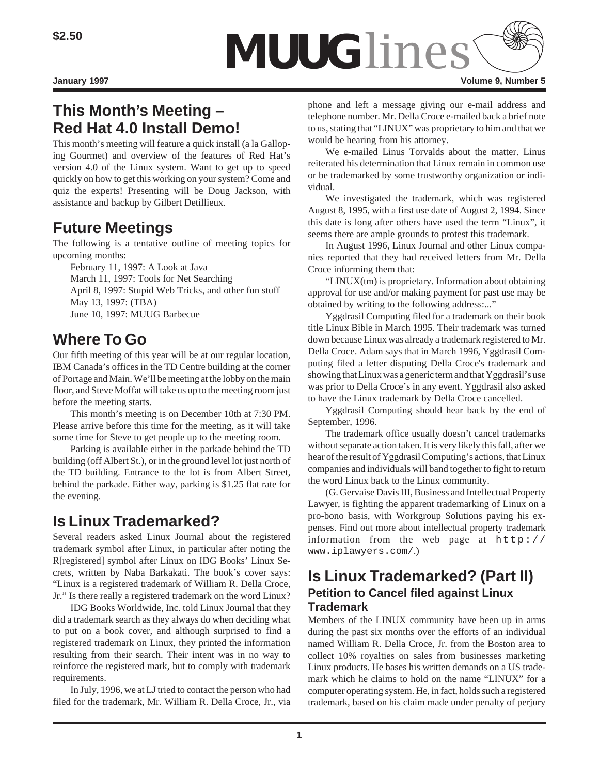

# **This Month's Meeting – Red Hat 4.0 Install Demo!**

This month's meeting will feature a quick install (a la Galloping Gourmet) and overview of the features of Red Hat's version 4.0 of the Linux system. Want to get up to speed quickly on how to get this working on your system? Come and quiz the experts! Presenting will be Doug Jackson, with assistance and backup by Gilbert Detillieux.

# **Future Meetings**

The following is a tentative outline of meeting topics for upcoming months:

February 11, 1997: A Look at Java March 11, 1997: Tools for Net Searching April 8, 1997: Stupid Web Tricks, and other fun stuff May 13, 1997: (TBA) June 10, 1997: MUUG Barbecue

# **Where To Go**

Our fifth meeting of this year will be at our regular location, IBM Canada's offices in the TD Centre building at the corner of Portage and Main. We'll be meeting at the lobby on the main floor, and Steve Moffat will take us up to the meeting room just before the meeting starts.

This month's meeting is on December 10th at 7:30 PM. Please arrive before this time for the meeting, as it will take some time for Steve to get people up to the meeting room.

Parking is available either in the parkade behind the TD building (off Albert St.), or in the ground level lot just north of the TD building. Entrance to the lot is from Albert Street, behind the parkade. Either way, parking is \$1.25 flat rate for the evening.

# **Is Linux Trademarked?**

Several readers asked Linux Journal about the registered trademark symbol after Linux, in particular after noting the R[registered] symbol after Linux on IDG Books' Linux Secrets, written by Naba Barkakati. The book's cover says: "Linux is a registered trademark of William R. Della Croce, Jr." Is there really a registered trademark on the word Linux?

IDG Books Worldwide, Inc. told Linux Journal that they did a trademark search as they always do when deciding what to put on a book cover, and although surprised to find a registered trademark on Linux, they printed the information resulting from their search. Their intent was in no way to reinforce the registered mark, but to comply with trademark requirements.

In July, 1996, we at LJ tried to contact the person who had filed for the trademark, Mr. William R. Della Croce, Jr., via phone and left a message giving our e-mail address and telephone number. Mr. Della Croce e-mailed back a brief note to us, stating that "LINUX" was proprietary to him and that we would be hearing from his attorney.

We e-mailed Linus Torvalds about the matter. Linus reiterated his determination that Linux remain in common use or be trademarked by some trustworthy organization or individual.

We investigated the trademark, which was registered August 8, 1995, with a first use date of August 2, 1994. Since this date is long after others have used the term "Linux", it seems there are ample grounds to protest this trademark.

In August 1996, Linux Journal and other Linux companies reported that they had received letters from Mr. Della Croce informing them that:

"LINUX(tm) is proprietary. Information about obtaining approval for use and/or making payment for past use may be obtained by writing to the following address:..."

Yggdrasil Computing filed for a trademark on their book title Linux Bible in March 1995. Their trademark was turned down because Linux was already a trademark registered to Mr. Della Croce. Adam says that in March 1996, Yggdrasil Computing filed a letter disputing Della Croce's trademark and showing that Linux was a generic term and that Yggdrasil's use was prior to Della Croce's in any event. Yggdrasil also asked to have the Linux trademark by Della Croce cancelled.

Yggdrasil Computing should hear back by the end of September, 1996.

The trademark office usually doesn't cancel trademarks without separate action taken. It is very likely this fall, after we hear of the result of Yggdrasil Computing's actions, that Linux companies and individuals will band together to fight to return the word Linux back to the Linux community.

(G. Gervaise Davis III, Business and Intellectual Property Lawyer, is fighting the apparent trademarking of Linux on a pro-bono basis, with Workgroup Solutions paying his expenses. Find out more about intellectual property trademark information from the web page at  $h \text{ttp}:$  // www.iplawyers.com/.)

## **Is Linux Trademarked? (Part II) Petition to Cancel filed against Linux Trademark**

Members of the LINUX community have been up in arms during the past six months over the efforts of an individual named William R. Della Croce, Jr. from the Boston area to collect 10% royalties on sales from businesses marketing Linux products. He bases his written demands on a US trademark which he claims to hold on the name "LINUX" for a computer operating system. He, in fact, holds such a registered trademark, based on his claim made under penalty of perjury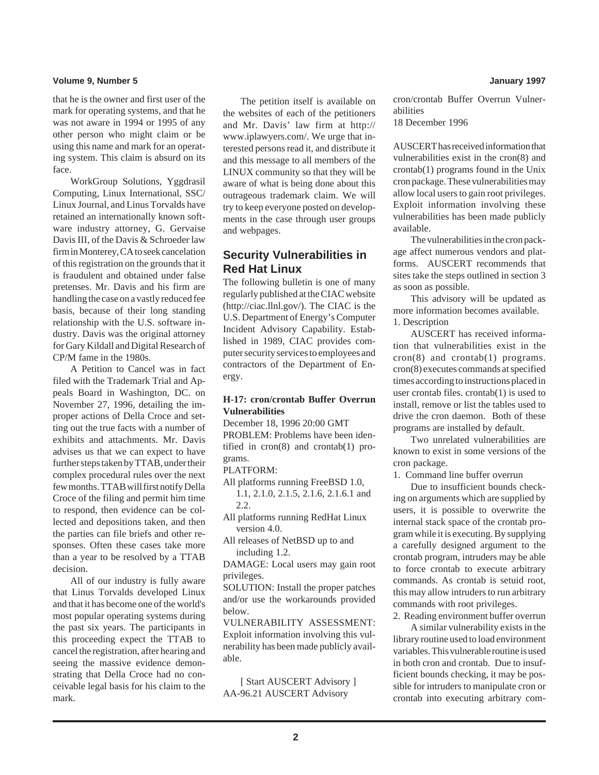#### **Volume 9, Number 5 January 1997**

that he is the owner and first user of the mark for operating systems, and that he was not aware in 1994 or 1995 of any other person who might claim or be using this name and mark for an operating system. This claim is absurd on its face.

WorkGroup Solutions, Yggdrasil Computing, Linux International, SSC/ Linux Journal, and Linus Torvalds have retained an internationally known software industry attorney, G. Gervaise Davis III, of the Davis & Schroeder law firm in Monterey, CA to seek cancelation of this registration on the grounds that it is fraudulent and obtained under false pretenses. Mr. Davis and his firm are handling the case on a vastly reduced fee basis, because of their long standing relationship with the U.S. software industry. Davis was the original attorney for Gary Kildall and Digital Research of CP/M fame in the 1980s.

A Petition to Cancel was in fact filed with the Trademark Trial and Appeals Board in Washington, DC. on November 27, 1996, detailing the improper actions of Della Croce and setting out the true facts with a number of exhibits and attachments. Mr. Davis advises us that we can expect to have further steps taken by TTAB, under their complex procedural rules over the next few months. TTAB will first notify Della Croce of the filing and permit him time to respond, then evidence can be collected and depositions taken, and then the parties can file briefs and other responses. Often these cases take more than a year to be resolved by a TTAB decision.

All of our industry is fully aware that Linus Torvalds developed Linux and that it has become one of the world's most popular operating systems during the past six years. The participants in this proceeding expect the TTAB to cancel the registration, after hearing and seeing the massive evidence demonstrating that Della Croce had no conceivable legal basis for his claim to the mark.

The petition itself is available on the websites of each of the petitioners and Mr. Davis' law firm at http:// www.iplawyers.com/. We urge that interested persons read it, and distribute it and this message to all members of the LINUX community so that they will be aware of what is being done about this outrageous trademark claim. We will try to keep everyone posted on developments in the case through user groups and webpages.

### **Security Vulnerabilities in Red Hat Linux**

The following bulletin is one of many regularly published at the CIAC website (http://ciac.llnl.gov/). The CIAC is the U.S. Department of Energy's Computer Incident Advisory Capability. Established in 1989, CIAC provides computer security services to employees and contractors of the Department of Energy.

### **H-17: cron/crontab Buffer Overrun Vulnerabilities**

December 18, 1996 20:00 GMT PROBLEM: Problems have been identified in cron(8) and crontab(1) programs.

### PLATFORM:

All platforms running FreeBSD 1.0,

1.1, 2.1.0, 2.1.5, 2.1.6, 2.1.6.1 and 2.2.

All platforms running RedHat Linux version 4.0.

All releases of NetBSD up to and including 1.2.

DAMAGE: Local users may gain root privileges.

SOLUTION: Install the proper patches and/or use the workarounds provided below.

VULNERABILITY ASSESSMENT: Exploit information involving this vulnerability has been made publicly available.

[ Start AUSCERT Advisory ] AA-96.21 AUSCERT Advisory

cron/crontab Buffer Overrun Vulnerabilities

18 December 1996

AUSCERT has received information that vulnerabilities exist in the cron(8) and crontab(1) programs found in the Unix cron package. These vulnerabilities may allow local users to gain root privileges. Exploit information involving these vulnerabilities has been made publicly available.

The vulnerabilities in the cron package affect numerous vendors and platforms. AUSCERT recommends that sites take the steps outlined in section 3 as soon as possible.

This advisory will be updated as more information becomes available. 1. Description

AUSCERT has received information that vulnerabilities exist in the cron(8) and crontab(1) programs. cron(8) executes commands at specified times according to instructions placed in user crontab files. crontab(1) is used to install, remove or list the tables used to drive the cron daemon. Both of these programs are installed by default.

Two unrelated vulnerabilities are known to exist in some versions of the cron package.

1. Command line buffer overrun

Due to insufficient bounds checking on arguments which are supplied by users, it is possible to overwrite the internal stack space of the crontab program while it is executing. By supplying a carefully designed argument to the crontab program, intruders may be able to force crontab to execute arbitrary commands. As crontab is setuid root, this may allow intruders to run arbitrary commands with root privileges.

2. Reading environment buffer overrun

A similar vulnerability exists in the library routine used to load environment variables. This vulnerable routine is used in both cron and crontab. Due to insufficient bounds checking, it may be possible for intruders to manipulate cron or crontab into executing arbitrary com-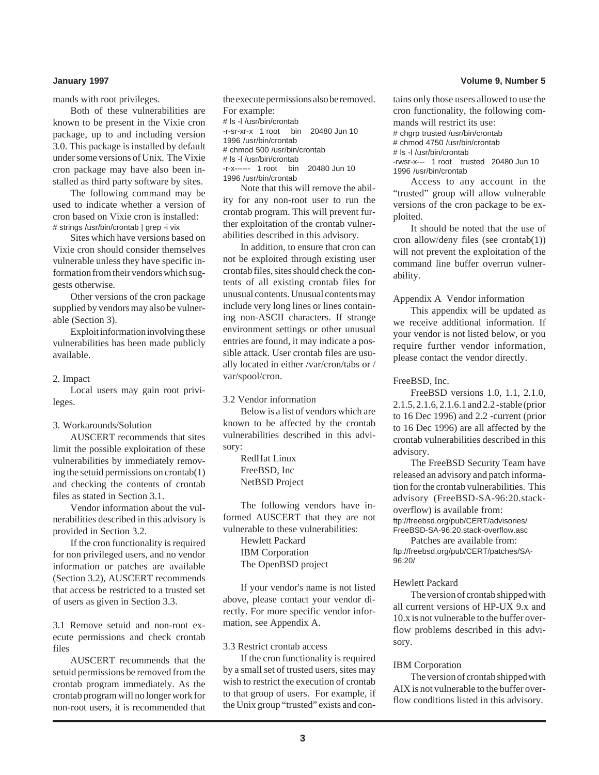mands with root privileges.

Both of these vulnerabilities are known to be present in the Vixie cron package, up to and including version 3.0. This package is installed by default under some versions of Unix. The Vixie cron package may have also been installed as third party software by sites.

The following command may be used to indicate whether a version of cron based on Vixie cron is installed: # strings /usr/bin/crontab | grep -i vix

Sites which have versions based on Vixie cron should consider themselves vulnerable unless they have specific information from their vendors which suggests otherwise.

Other versions of the cron package supplied by vendors may also be vulnerable (Section 3).

Exploit information involving these vulnerabilities has been made publicly available.

2. Impact

Local users may gain root privileges.

#### 3. Workarounds/Solution

AUSCERT recommends that sites limit the possible exploitation of these vulnerabilities by immediately removing the setuid permissions on crontab(1) and checking the contents of crontab files as stated in Section 3.1.

Vendor information about the vulnerabilities described in this advisory is provided in Section 3.2.

If the cron functionality is required for non privileged users, and no vendor information or patches are available (Section 3.2), AUSCERT recommends that access be restricted to a trusted set of users as given in Section 3.3.

3.1 Remove setuid and non-root execute permissions and check crontab files

AUSCERT recommends that the setuid permissions be removed from the crontab program immediately. As the crontab program will no longer work for non-root users, it is recommended that

```
the execute permissions also be removed.
For example:
# ls -l /usr/bin/crontab
-r-sr-xr-x 1 root bin 20480 Jun 10
1996 /usr/bin/crontab
# chmod 500 /usr/bin/crontab
# ls -l /usr/bin/crontab
-r-x------ 1 root bin 20480 Jun 10
1996 /usr/bin/crontab
```
Note that this will remove the ability for any non-root user to run the crontab program. This will prevent further exploitation of the crontab vulnerabilities described in this advisory.

In addition, to ensure that cron can not be exploited through existing user crontab files, sites should check the contents of all existing crontab files for unusual contents. Unusual contents may include very long lines or lines containing non-ASCII characters. If strange environment settings or other unusual entries are found, it may indicate a possible attack. User crontab files are usually located in either /var/cron/tabs or / var/spool/cron.

3.2 Vendor information

Below is a list of vendors which are known to be affected by the crontab vulnerabilities described in this advisory:

> RedHat Linux FreeBSD, Inc NetBSD Project

The following vendors have informed AUSCERT that they are not vulnerable to these vulnerabilities: Hewlett Packard IBM Corporation The OpenBSD project

If your vendor's name is not listed above, please contact your vendor directly. For more specific vendor information, see Appendix A.

#### 3.3 Restrict crontab access

If the cron functionality is required by a small set of trusted users, sites may wish to restrict the execution of crontab to that group of users. For example, if the Unix group "trusted" exists and con-

#### **January 1997 Volume 9, Number 5**

tains only those users allowed to use the cron functionality, the following commands will restrict its use:

# chgrp trusted /usr/bin/crontab # chmod 4750 /usr/bin/crontab # ls -l /usr/bin/crontab -rwsr-x--- 1 root trusted 20480 Jun 10 1996 /usr/bin/crontab

Access to any account in the "trusted" group will allow vulnerable versions of the cron package to be exploited.

It should be noted that the use of cron allow/deny files (see crontab(1)) will not prevent the exploitation of the command line buffer overrun vulnerability.

Appendix A Vendor information

This appendix will be updated as we receive additional information. If your vendor is not listed below, or you require further vendor information, please contact the vendor directly.

FreeBSD, Inc.

FreeBSD versions 1.0, 1.1, 2.1.0, 2.1.5, 2.1.6, 2.1.6.1 and 2.2 -stable (prior to 16 Dec 1996) and 2.2 -current (prior to 16 Dec 1996) are all affected by the crontab vulnerabilities described in this advisory.

The FreeBSD Security Team have released an advisory and patch information for the crontab vulnerabilities. This advisory (FreeBSD-SA-96:20.stackoverflow) is available from: ftp://freebsd.org/pub/CERT/advisories/ FreeBSD-SA-96:20.stack-overflow.asc

Patches are available from: ftp://freebsd.org/pub/CERT/patches/SA-96:20/

#### Hewlett Packard

The version of crontab shipped with all current versions of HP-UX 9.x and 10.x is not vulnerable to the buffer overflow problems described in this advisory.

#### IBM Corporation

The version of crontab shipped with AIX is not vulnerable to the buffer overflow conditions listed in this advisory.